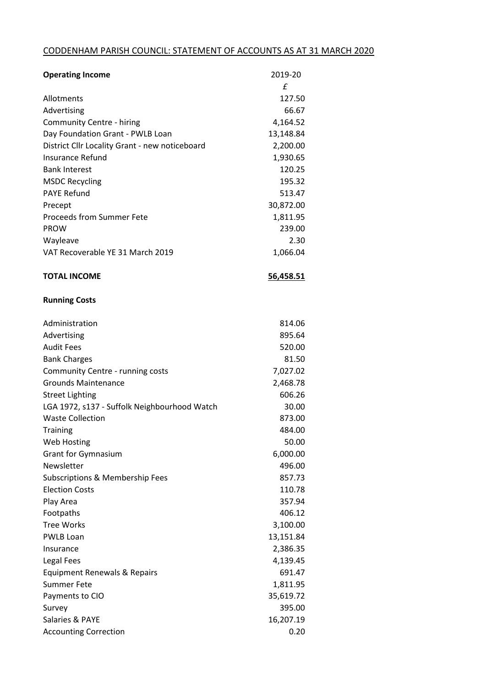## CODDENHAM PARISH COUNCIL: STATEMENT OF ACCOUNTS AS AT 31 MARCH 2020

| <b>Operating Income</b>                        | 2019-20   |
|------------------------------------------------|-----------|
|                                                | £         |
| Allotments                                     | 127.50    |
| Advertising                                    | 66.67     |
| <b>Community Centre - hiring</b>               | 4,164.52  |
| Day Foundation Grant - PWLB Loan               | 13,148.84 |
| District Cllr Locality Grant - new noticeboard | 2,200.00  |
| Insurance Refund                               | 1,930.65  |
| <b>Bank Interest</b>                           | 120.25    |
| <b>MSDC Recycling</b>                          | 195.32    |
| <b>PAYE Refund</b>                             | 513.47    |
| Precept                                        | 30,872.00 |
| <b>Proceeds from Summer Fete</b>               | 1,811.95  |
| <b>PROW</b>                                    | 239.00    |
| Wayleave                                       | 2.30      |
| VAT Recoverable YE 31 March 2019               | 1,066.04  |
|                                                |           |
| <b>TOTAL INCOME</b>                            | 56,458.51 |
| <b>Running Costs</b>                           |           |
| Administration                                 | 814.06    |
| Advertising                                    | 895.64    |
| <b>Audit Fees</b>                              | 520.00    |
| <b>Bank Charges</b>                            | 81.50     |
| Community Centre - running costs               | 7,027.02  |
| <b>Grounds Maintenance</b>                     | 2,468.78  |
| <b>Street Lighting</b>                         | 606.26    |
| LGA 1972, s137 - Suffolk Neighbourhood Watch   | 30.00     |
| <b>Waste Collection</b>                        | 873.00    |
| <b>Training</b>                                | 484.00    |
| <b>Web Hosting</b>                             | 50.00     |
| <b>Grant for Gymnasium</b>                     | 6,000.00  |
| Newsletter                                     | 496.00    |
| Subscriptions & Membership Fees                | 857.73    |
| <b>Election Costs</b>                          | 110.78    |
| Play Area                                      | 357.94    |
| Footpaths                                      | 406.12    |
| <b>Tree Works</b>                              | 3,100.00  |
| <b>PWLB Loan</b>                               | 13,151.84 |
| Insurance                                      | 2,386.35  |
| Legal Fees                                     | 4,139.45  |
| Equipment Renewals & Repairs                   | 691.47    |
| <b>Summer Fete</b>                             | 1,811.95  |
| Payments to CIO                                | 35,619.72 |
| Survey                                         | 395.00    |
| Salaries & PAYE                                | 16,207.19 |
| <b>Accounting Correction</b>                   | 0.20      |